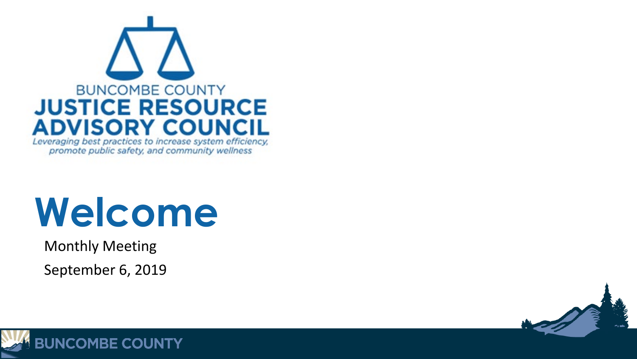

# **Welcome**

Monthly Meeting

September 6, 2019



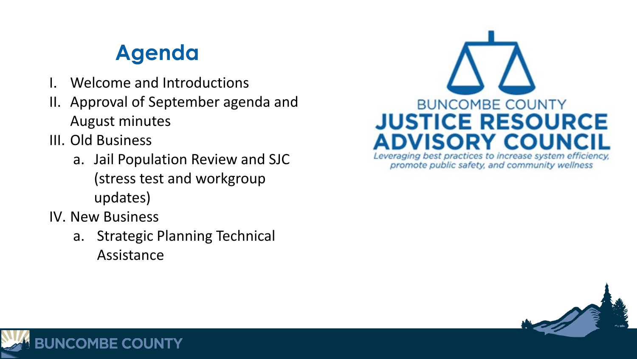### **Agenda**

- Welcome and Introductions
- II. Approval of September agenda and August minutes
- III. Old Business
	- a. Jail Population Review and SJC (stress test and workgroup updates)
- IV. New Business
	- a. Strategic Planning Technical Assistance



promote public safety, and community wellness



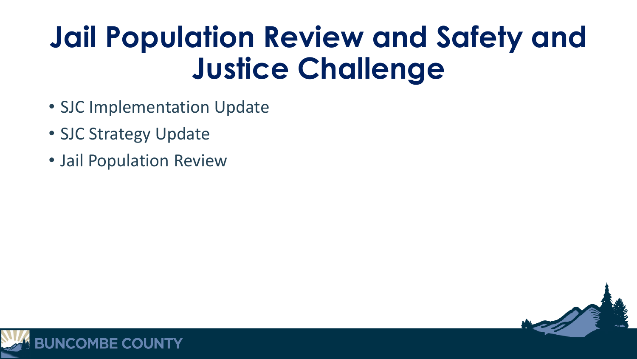- SJC Implementation Update
- SJC Strategy Update
- Jail Population Review



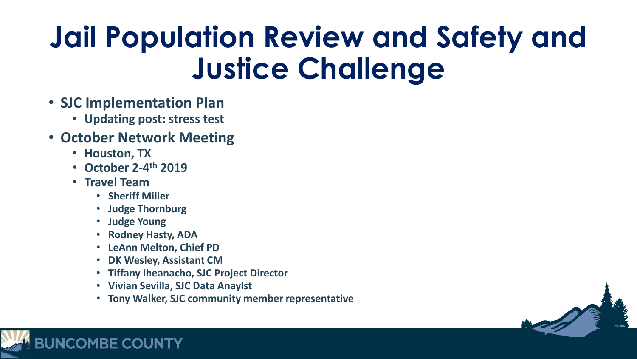- **SJC Implementation Plan**
	- **Updating post: stress test**
- **October Network Meeting**
	- **Houston, TX**
	- **October 2-4th 2019**
	- **Travel Team**

**JNCOMBE COUNTY** 

- **Sheriff Miller**
- **Judge Thornburg**
- **Judge Young**
- **Rodney Hasty, ADA**
- **LeAnn Melton, Chief PD**
- **DK Wesley, Assistant CM**
- **Tiffany Iheanacho, SJC Project Director**
- **Vivian Sevilla, SJC Data Anaylst**
- **Tony Walker, SJC community member representative**

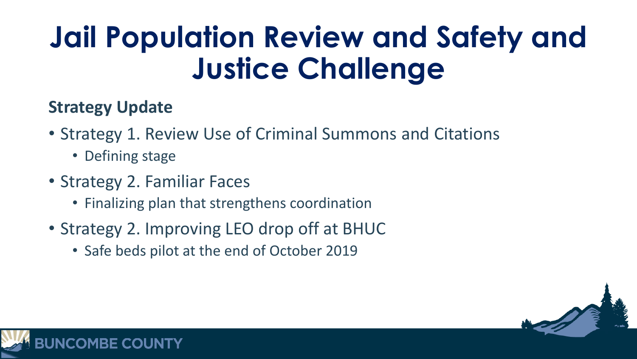### **Strategy Update**

- Strategy 1. Review Use of Criminal Summons and Citations
	- Defining stage
- Strategy 2. Familiar Faces
	- Finalizing plan that strengthens coordination
- Strategy 2. Improving LEO drop off at BHUC
	- Safe beds pilot at the end of October 2019



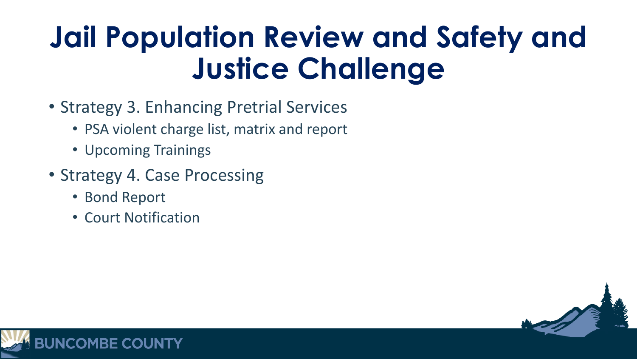- Strategy 3. Enhancing Pretrial Services
	- PSA violent charge list, matrix and report
	- Upcoming Trainings
- Strategy 4. Case Processing
	- Bond Report
	- Court Notification



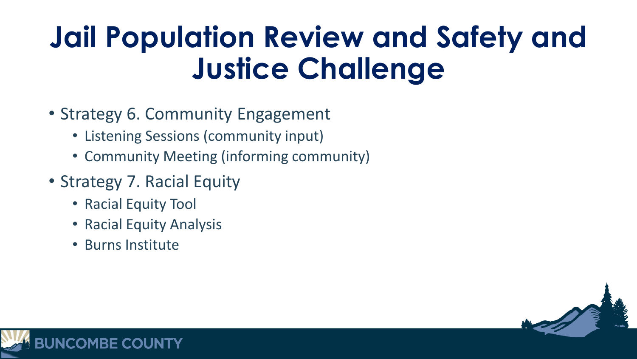- Strategy 6. Community Engagement
	- Listening Sessions (community input)
	- Community Meeting (informing community)
- Strategy 7. Racial Equity
	- Racial Equity Tool
	- Racial Equity Analysis
	- Burns Institute



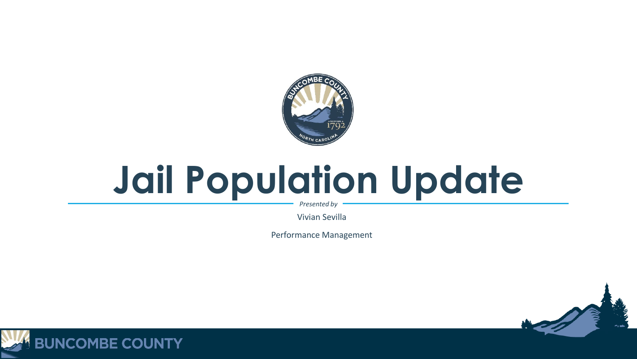

# **Jail Population Update**

*Presented by*

Vivian Sevilla

Performance Management



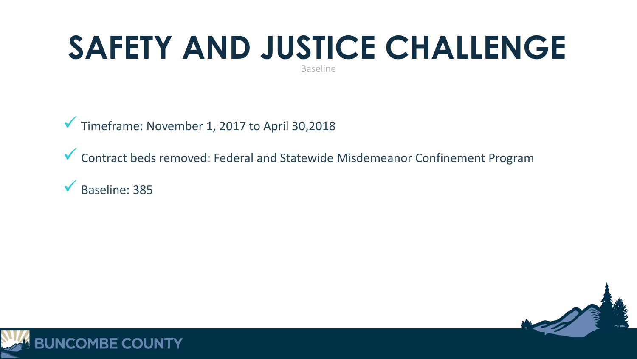### Baseline **SAFETY AND JUSTICE CHALLENGE**

 $\sqrt{\ }$  Timeframe: November 1, 2017 to April 30,2018

Contract beds removed: Federal and Statewide Misdemeanor Confinement Program

Baseline: 385



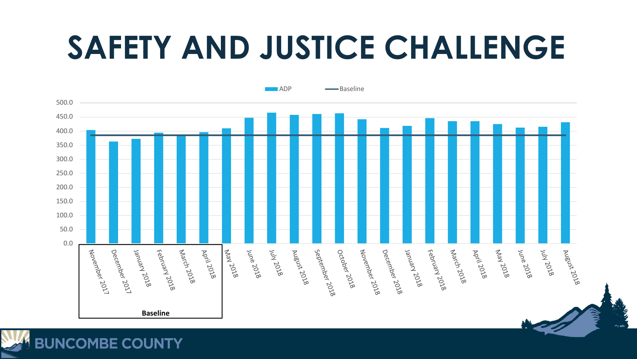# **SAFETY AND JUSTICE CHALLENGE**



**BUNCOMBE COUNTY**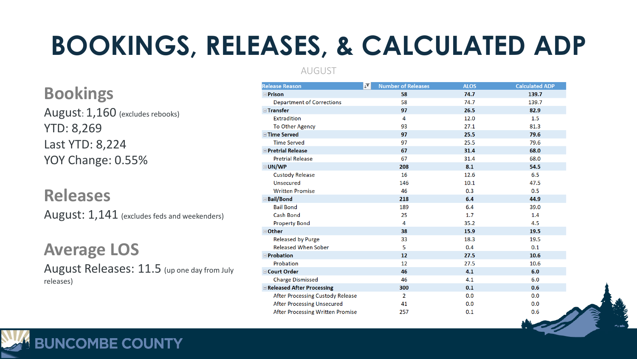### **BOOKINGS, RELEASES, & CALCULATED ADP**

**Bookings** August: 1,160 (excludes rebooks) YTD: 8,269 Last YTD: 8,224 YOY Change: 0.55%

**Releases** August: 1,141 (excludes feds and weekenders)

**Average LOS** August Releases: 11.5 (up one day from July releases)

**BUNCOMBE COUNTY** 

### AUGUST

| $\sqrt{\phantom{a}}$<br><b>Release Reason</b> | <b>Number of Releases</b> | <b>ALOS</b> | <b>Calculated ADP</b> |
|-----------------------------------------------|---------------------------|-------------|-----------------------|
| <b>Prison</b>                                 | 58                        | 74.7        | 139.7                 |
| <b>Department of Corrections</b>              | 58                        | 74.7        | 139.7                 |
| <b>E</b> Transfer                             | 97                        | 26.5        | 82.9                  |
| <b>Extradition</b>                            | 4                         | 12.0        | 1.5                   |
| To Other Agency                               | 93                        | 27.1        | 81.3                  |
| <b>■Time Served</b>                           | 97                        | 25.5        | 79.6                  |
| <b>Time Served</b>                            | 97                        | 25.5        | 79.6                  |
| <b>EPretrial Release</b>                      | 67                        | 31.4        | 68.0                  |
| <b>Pretrial Release</b>                       | 67                        | 31.4        | 68.0                  |
| <b>⊟UN/WP</b>                                 | 208                       | 8.1         | 54.5                  |
| <b>Custody Release</b>                        | 16                        | 12.6        | 6.5                   |
| Unsecured                                     | 146                       | 10.1        | 47.5                  |
| <b>Written Promise</b>                        | 46                        | 0.3         | 0.5                   |
| <b>⊟Bail/Bond</b>                             | 218                       | 6.4         | 44.9                  |
| <b>Bail Bond</b>                              | 189                       | 6.4         | 39.0                  |
| <b>Cash Bond</b>                              | 25                        | 1.7         | 1.4                   |
| <b>Property Bond</b>                          | 4                         | 35.2        | 4.5                   |
| <b>⊟Other</b>                                 | 38                        | 15.9        | 19.5                  |
| <b>Released by Purge</b>                      | 33                        | 18.3        | 19.5                  |
| <b>Released When Sober</b>                    | 5                         | 0.4         | 0.1                   |
| <b>Probation</b>                              | 12                        | 27.5        | 10.6                  |
| Probation                                     | 12                        | 27.5        | 10.6                  |
| <b>■Court Order</b>                           | 46                        | 4.1         | 6.0                   |
| <b>Charge Dismissed</b>                       | 46                        | 4.1         | 6.0                   |
| Released After Processing                     | 300                       | 0.1         | 0.6                   |
| After Processing Custody Release              | $\overline{2}$            | 0.0         | 0.0                   |
| <b>After Processing Unsecured</b>             | 41                        | 0.0         | 0.0                   |
| <b>After Processing Written Promise</b>       | 257                       | 0.1         | 0.6                   |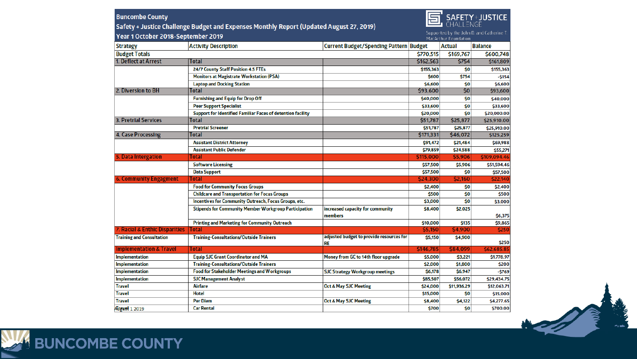### **SAFETY+JUSTICE**

**Buncombe County** 

Safety + Justice Challenge Budget and Expenses Monthly Report (Updated August 27, 2019)

Supported by the John D. and Catherine T.

| Year 1 October 2018-September 2019 |                                                                    |                                                       |           | Supported by the John D. and Catherine T.<br>MacArthur Foundation |                |
|------------------------------------|--------------------------------------------------------------------|-------------------------------------------------------|-----------|-------------------------------------------------------------------|----------------|
| <b>Strategy</b>                    | <b>Activity Description</b>                                        | Current Budget/Spending Pattern Budget                |           | <b>Actual</b>                                                     | <b>Balance</b> |
| <b>Budget Totals</b>               |                                                                    |                                                       | \$770,515 | \$169,767                                                         | \$600,748      |
| 1. Deflect at Arrest               | Total                                                              |                                                       | \$162,563 | \$754                                                             | \$161,809      |
|                                    | 24/7 County Staff Position 4.5 FTEs                                |                                                       | \$155,363 | \$0                                                               | \$155,363      |
|                                    | <b>Monitors at Magistrate Workstation (PSA)</b>                    |                                                       | \$600     | \$754                                                             | $-5154$        |
|                                    | <b>Laptop and Docking Station</b>                                  |                                                       | \$6,600   | \$0                                                               | \$6,600        |
| 2. Diversion to BH                 | Total                                                              |                                                       | \$93,600  | 50                                                                | \$93,600       |
|                                    | <b>Furnishing and Equip for Drop Off</b>                           |                                                       | \$40,000  | \$0                                                               | \$40,000       |
|                                    | <b>Peer Support Specialist</b>                                     |                                                       | \$33,600  | \$0                                                               | \$33,600       |
|                                    | <b>Support for Identified Familiar Faces of detention facility</b> |                                                       | \$20,000  | \$0                                                               | \$20,000.00    |
| 3. Pretrial Services               | Total                                                              |                                                       | \$51,787  | \$25,877                                                          | \$25,910.00    |
|                                    | <b>Pretrial Screener</b>                                           |                                                       | \$51,787  | \$25,877                                                          | \$25,910.00    |
| 4. Case Processing                 | Total                                                              |                                                       | \$171,331 | \$46,072                                                          | \$125,259      |
|                                    | <b>Assistant District Attorney</b>                                 |                                                       | \$91,472  | \$21,484                                                          | \$69,988       |
|                                    | <b>Assistant Public Defender</b>                                   |                                                       | \$79,859  | \$24,588                                                          | \$55,271       |
| 5. Data Intergation                | Total                                                              |                                                       | \$115,000 | \$5,906                                                           | \$109,094.46   |
|                                    | <b>Software Licensing</b>                                          |                                                       | \$57,500  | \$5,906                                                           | \$51,594.46    |
|                                    | <b>Data Support</b>                                                |                                                       | \$57,500  | \$0                                                               | \$57,500       |
| <b>6. Community Engagment</b>      | Total                                                              |                                                       | \$24,300  | \$2,160                                                           | \$22,140       |
|                                    | <b>Food for Community Focus Groups</b>                             |                                                       | \$2,400   | \$0                                                               | \$2,400        |
|                                    | <b>Childcare and Transportation for Focus Groups</b>               |                                                       | \$500     | \$0                                                               | \$500          |
|                                    | Incentives for Community Outreach, Focus Groups, etc.              |                                                       | \$3,000   | \$0                                                               | \$3,000        |
|                                    | <b>Stipends for Community Member Workgroup Participation</b>       | increased capacity for community                      | \$8,400   | \$2,025                                                           |                |
|                                    |                                                                    | members                                               |           |                                                                   | \$6,375        |
|                                    | <b>Printing and Marketing for Community Outreach</b>               |                                                       | \$10,000  | \$135                                                             | \$9,865        |
| 7. Racial & Enthic Disparities     | Total                                                              |                                                       | \$5,150   | \$4,900                                                           | \$250          |
| <b>Training and Consultation</b>   | <b>Training-Consultations/Outside Trainers</b>                     | adjusted budget to provide resources for<br><b>RE</b> | \$5,150   | \$4,900                                                           | \$250          |
| <b>Implementation &amp; Travel</b> | Total                                                              |                                                       | \$146,785 | \$84,099                                                          | \$62,685.85    |
| <b>Implementation</b>              | <b>Equip SJC Grant Coordinator and MA</b>                          | Money from GC to 14th floor upgrade                   | \$5,000   | \$3,221                                                           | \$1,778.97     |
| <b>Implementation</b>              | <b>Training-Consultations/Outside Trainers</b>                     |                                                       | \$2,000   | \$1,800                                                           | \$200          |
| <b>Implementation</b>              | <b>Food for Stakeholder Meetings and Workgroups</b>                | <b>SJC Strategy Workgroup meetings</b>                | \$6,178   | \$6,947                                                           | $-5769$        |
| <b>Implementation</b>              | <b>SJC Management Analyst</b>                                      |                                                       | \$85,507  | \$56,072                                                          | \$29,434.75    |
| Travel                             | Airfare                                                            | <b>Oct &amp; May SJC Meeting</b>                      | \$24,000  | \$11,936.29                                                       | \$12,063.71    |
| Travel                             | <b>Hotel</b>                                                       |                                                       | \$15,000  | \$0                                                               | \$15,000       |
| Travel                             | <b>Per Diem</b>                                                    | <b>Oct &amp; May SJC Meeting</b>                      | \$8,400   | \$4,122                                                           | \$4,277.65     |
| Allrawet 1 2019                    | <b>Car Rental</b>                                                  |                                                       | \$700     | \$0                                                               | \$700.00       |

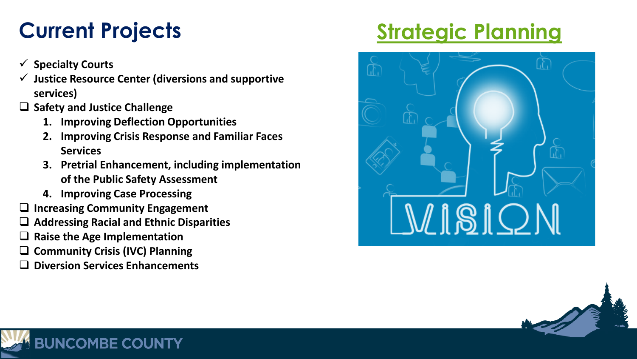- **Specialty Courts**
- **Justice Resource Center (diversions and supportive services)**
- **Safety and Justice Challenge**
	- **1. Improving Deflection Opportunities**
	- **2. Improving Crisis Response and Familiar Faces Services**
	- **3. Pretrial Enhancement, including implementation of the Public Safety Assessment**
	- **4. Improving Case Processing**
- **Increasing Community Engagement**
- **Addressing Racial and Ethnic Disparities**
- **Raise the Age Implementation**
- **Community Crisis (IVC) Planning**
- **Diversion Services Enhancements**

**JNCOMBE COUNTY** 

### **Current Projects [Strategic Planning](https://www.mentimeter.com/s/813447093bd0e84a7f854ab983900c94/fb93ca884198)**



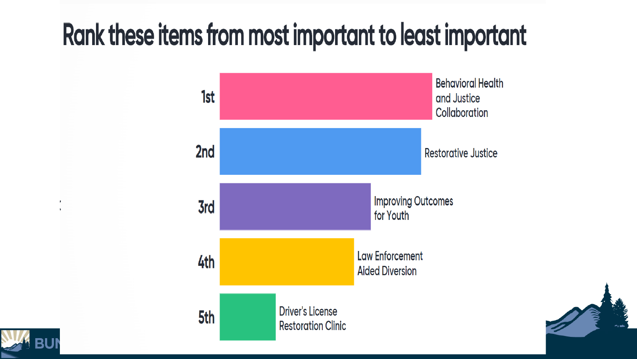## Rank these items from most important to least important



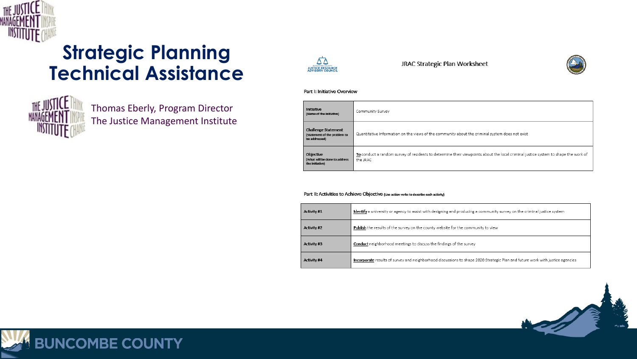

### **Strategic Planning Technical Assistance**



Thomas Eberly, Program Director The Justice Management Institute



JRAC Strategic Plan Worksheet



### Part I: Initiative Overview

| Initiative<br>(Name of the Initiative)                              | Community Survey                                                                                                                               |
|---------------------------------------------------------------------|------------------------------------------------------------------------------------------------------------------------------------------------|
| Challenge Statement<br>Statement of the problem to<br>be addressed) | Quantitative Information on the views of the community about the criminal system does not exist                                                |
| <b>Obiective</b><br>What will be done to address<br>the initiative) | To conduct a random survey of residents to determine their viewpoints about the local criminal justice system to shape the work of<br>the JRAC |

### Part II: Activities to Achieve Objective (use action verbs to describe each activity)

| Activity #1 | Identify a university or agency to assist with designing and producing a community survey on the criminal justice system      |
|-------------|-------------------------------------------------------------------------------------------------------------------------------|
| Activity #2 | Publish the results of the survey on the county website for the community to view                                             |
| Activity #3 | <b>Conduct</b> neighborhood meetings to discuss the findings of the survey                                                    |
| Activity #4 | Incorporate results of survey and neighborhood discussions to shape 2020 Strategic Plan and future work with justice agencies |